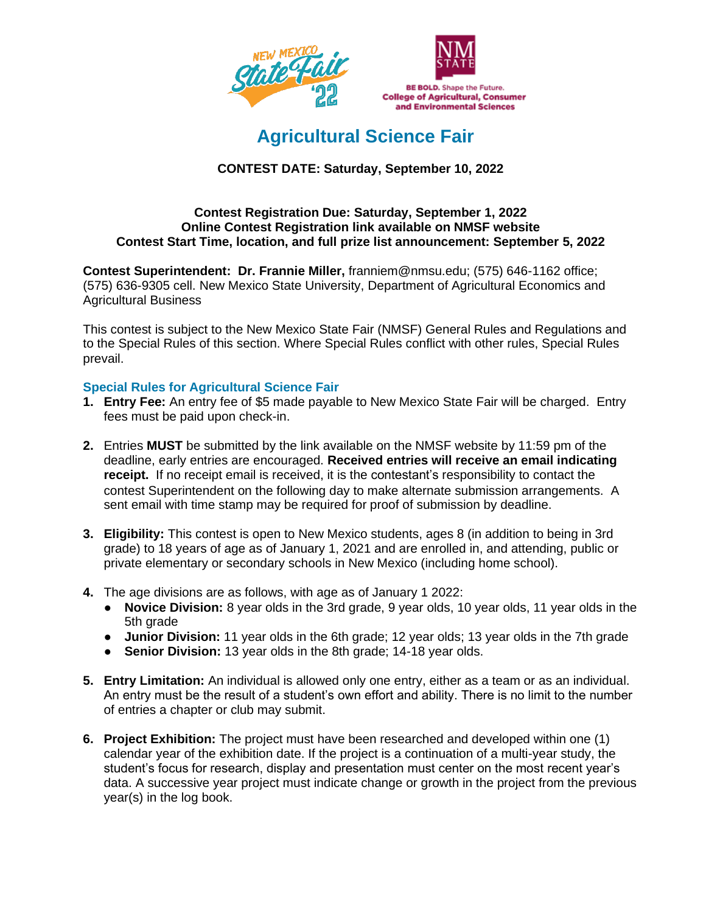



# **Agricultural Science Fair**

# **CONTEST DATE: Saturday, September 10, 2022**

## **Contest Registration Due: Saturday, September 1, 2022 Online Contest Registration link available on NMSF website Contest Start Time, location, and full prize list announcement: September 5, 2022**

**Contest Superintendent: Dr. Frannie Miller,** franniem@nmsu.edu; (575) 646-1162 office; (575) 636-9305 cell. New Mexico State University, Department of Agricultural Economics and Agricultural Business

This contest is subject to the New Mexico State Fair (NMSF) General Rules and Regulations and to the Special Rules of this section. Where Special Rules conflict with other rules, Special Rules prevail.

## **Special Rules for Agricultural Science Fair**

- **1. Entry Fee:** An entry fee of \$5 made payable to New Mexico State Fair will be charged. Entry fees must be paid upon check-in.
- **2.** Entries **MUST** be submitted by the link available on the NMSF website by 11:59 pm of the deadline, early entries are encouraged. **Received entries will receive an email indicating receipt.** If no receipt email is received, it is the contestant's responsibility to contact the contest Superintendent on the following day to make alternate submission arrangements. A sent email with time stamp may be required for proof of submission by deadline.
- **3. Eligibility:** This contest is open to New Mexico students, ages 8 (in addition to being in 3rd grade) to 18 years of age as of January 1, 2021 and are enrolled in, and attending, public or private elementary or secondary schools in New Mexico (including home school).
- **4.** The age divisions are as follows, with age as of January 1 2022:
	- **Novice Division:** 8 year olds in the 3rd grade, 9 year olds, 10 year olds, 11 year olds in the 5th grade
	- **Junior Division:** 11 year olds in the 6th grade; 12 year olds; 13 year olds in the 7th grade
	- **Senior Division:** 13 year olds in the 8th grade; 14-18 year olds.
- **5. Entry Limitation:** An individual is allowed only one entry, either as a team or as an individual. An entry must be the result of a student's own effort and ability. There is no limit to the number of entries a chapter or club may submit.
- **6. Project Exhibition:** The project must have been researched and developed within one (1) calendar year of the exhibition date. If the project is a continuation of a multi-year study, the student's focus for research, display and presentation must center on the most recent year's data. A successive year project must indicate change or growth in the project from the previous year(s) in the log book.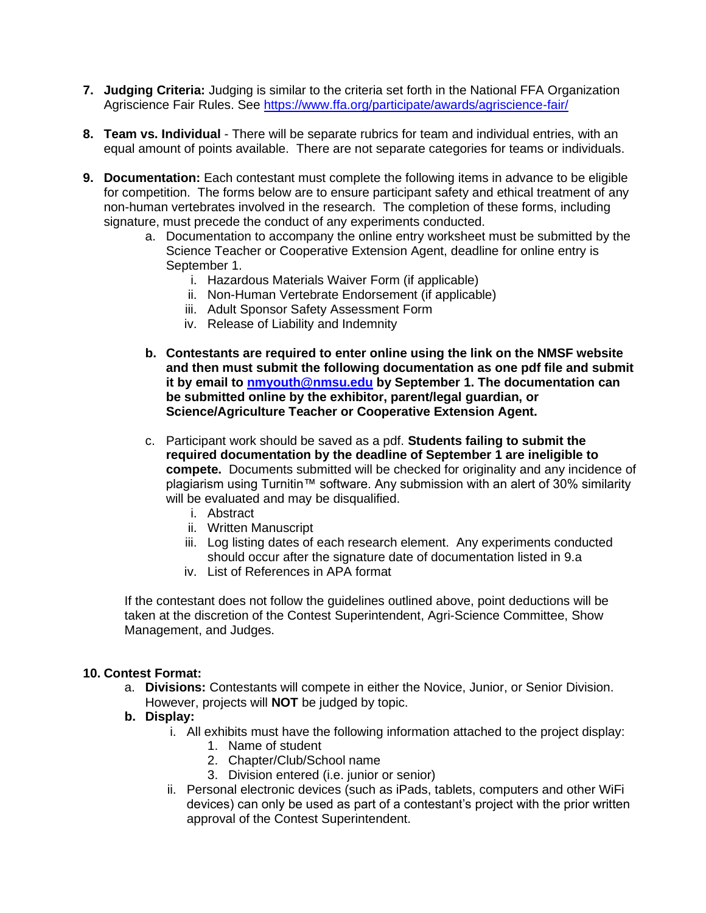- **7. Judging Criteria:** Judging is similar to the criteria set forth in the National FFA Organization Agriscience Fair Rules. See<https://www.ffa.org/participate/awards/agriscience-fair/>
- **8. Team vs. Individual** There will be separate rubrics for team and individual entries, with an equal amount of points available. There are not separate categories for teams or individuals.
- **9. Documentation:** Each contestant must complete the following items in advance to be eligible for competition. The forms below are to ensure participant safety and ethical treatment of any non-human vertebrates involved in the research. The completion of these forms, including signature, must precede the conduct of any experiments conducted.
	- a. Documentation to accompany the online entry worksheet must be submitted by the Science Teacher or Cooperative Extension Agent, deadline for online entry is September 1.
		- i. Hazardous Materials Waiver Form (if applicable)
		- ii. Non-Human Vertebrate Endorsement (if applicable)
		- iii. Adult Sponsor Safety Assessment Form
		- iv. Release of Liability and Indemnity
	- **b. Contestants are required to enter online using the link on the NMSF website and then must submit the following documentation as one pdf file and submit it by email to [nmyouth@nmsu.edu](mailto:nmyouth@nmsu.edu) by September 1. The documentation can be submitted online by the exhibitor, parent/legal guardian, or Science/Agriculture Teacher or Cooperative Extension Agent.**
	- c. Participant work should be saved as a pdf. **Students failing to submit the required documentation by the deadline of September 1 are ineligible to compete.** Documents submitted will be checked for originality and any incidence of plagiarism using Turnitin™ software. Any submission with an alert of 30% similarity will be evaluated and may be disqualified.
		- i. Abstract
		- ii. Written Manuscript
		- iii. Log listing dates of each research element. Any experiments conducted should occur after the signature date of documentation listed in 9.a
		- iv. List of References in APA format

If the contestant does not follow the guidelines outlined above, point deductions will be taken at the discretion of the Contest Superintendent, Agri-Science Committee, Show Management, and Judges.

## **10. Contest Format:**

a. **Divisions:** Contestants will compete in either the Novice, Junior, or Senior Division. However, projects will **NOT** be judged by topic.

## **b. Display:**

- i. All exhibits must have the following information attached to the project display:
	- 1. Name of student
	- 2. Chapter/Club/School name
	- 3. Division entered (i.e. junior or senior)
- ii. Personal electronic devices (such as iPads, tablets, computers and other WiFi devices) can only be used as part of a contestant's project with the prior written approval of the Contest Superintendent.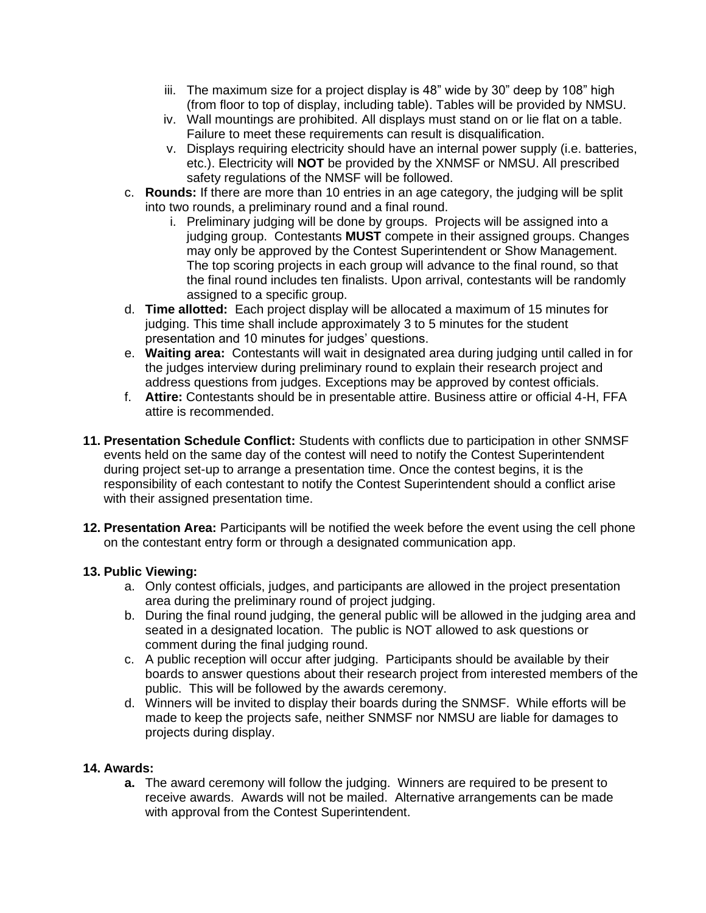- iii. The maximum size for a project display is 48" wide by 30" deep by 108" high (from floor to top of display, including table). Tables will be provided by NMSU.
- iv. Wall mountings are prohibited. All displays must stand on or lie flat on a table. Failure to meet these requirements can result is disqualification.
- v. Displays requiring electricity should have an internal power supply (i.e. batteries, etc.). Electricity will **NOT** be provided by the XNMSF or NMSU. All prescribed safety regulations of the NMSF will be followed.
- c. **Rounds:** If there are more than 10 entries in an age category, the judging will be split into two rounds, a preliminary round and a final round.
	- i. Preliminary judging will be done by groups. Projects will be assigned into a judging group. Contestants **MUST** compete in their assigned groups. Changes may only be approved by the Contest Superintendent or Show Management. The top scoring projects in each group will advance to the final round, so that the final round includes ten finalists. Upon arrival, contestants will be randomly assigned to a specific group.
- d. **Time allotted:** Each project display will be allocated a maximum of 15 minutes for judging. This time shall include approximately 3 to 5 minutes for the student presentation and 10 minutes for judges' questions.
- e. **Waiting area:** Contestants will wait in designated area during judging until called in for the judges interview during preliminary round to explain their research project and address questions from judges. Exceptions may be approved by contest officials.
- f. **Attire:** Contestants should be in presentable attire. Business attire or official 4-H, FFA attire is recommended.
- **11. Presentation Schedule Conflict:** Students with conflicts due to participation in other SNMSF events held on the same day of the contest will need to notify the Contest Superintendent during project set-up to arrange a presentation time. Once the contest begins, it is the responsibility of each contestant to notify the Contest Superintendent should a conflict arise with their assigned presentation time.
- **12. Presentation Area:** Participants will be notified the week before the event using the cell phone on the contestant entry form or through a designated communication app.

## **13. Public Viewing:**

- a. Only contest officials, judges, and participants are allowed in the project presentation area during the preliminary round of project judging.
- b. During the final round judging, the general public will be allowed in the judging area and seated in a designated location. The public is NOT allowed to ask questions or comment during the final judging round.
- c. A public reception will occur after judging. Participants should be available by their boards to answer questions about their research project from interested members of the public. This will be followed by the awards ceremony.
- d. Winners will be invited to display their boards during the SNMSF. While efforts will be made to keep the projects safe, neither SNMSF nor NMSU are liable for damages to projects during display.

## **14. Awards:**

**a.** The award ceremony will follow the judging. Winners are required to be present to receive awards. Awards will not be mailed. Alternative arrangements can be made with approval from the Contest Superintendent.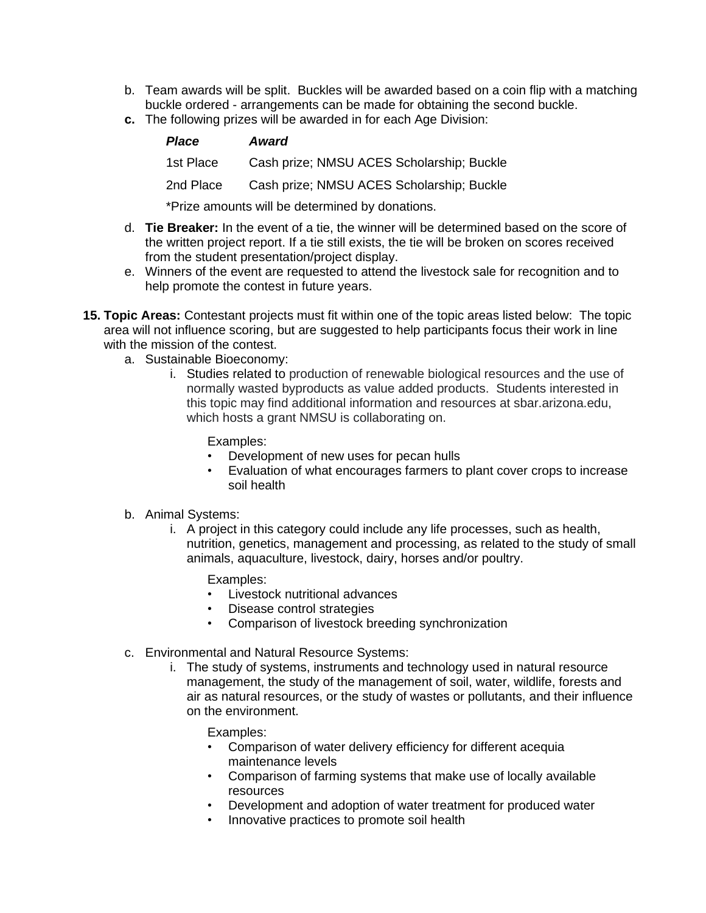- b. Team awards will be split. Buckles will be awarded based on a coin flip with a matching buckle ordered - arrangements can be made for obtaining the second buckle.
- **c.** The following prizes will be awarded in for each Age Division:

| <b>Place</b> | <b>Award</b>                              |
|--------------|-------------------------------------------|
| 1st Place    | Cash prize; NMSU ACES Scholarship; Buckle |
| 2nd Place    | Cash prize; NMSU ACES Scholarship; Buckle |
|              |                                           |

\*Prize amounts will be determined by donations.

- d. **Tie Breaker:** In the event of a tie, the winner will be determined based on the score of the written project report. If a tie still exists, the tie will be broken on scores received from the student presentation/project display.
- e. Winners of the event are requested to attend the livestock sale for recognition and to help promote the contest in future years.
- **15. Topic Areas:** Contestant projects must fit within one of the topic areas listed below: The topic area will not influence scoring, but are suggested to help participants focus their work in line with the mission of the contest.
	- a. Sustainable Bioeconomy:
		- i. Studies related to production of renewable biological resources and the use of normally wasted byproducts as value added products. Students interested in this topic may find additional information and resources at sbar.arizona.edu, which hosts a grant NMSU is collaborating on.

Examples:

- Development of new uses for pecan hulls
- Evaluation of what encourages farmers to plant cover crops to increase soil health
- b. Animal Systems:
	- i. A project in this category could include any life processes, such as health, nutrition, genetics, management and processing, as related to the study of small animals, aquaculture, livestock, dairy, horses and/or poultry.

Examples:

- Livestock nutritional advances<br>• Disease control strategies
- Disease control strategies
- Comparison of livestock breeding synchronization
- c. Environmental and Natural Resource Systems:
	- i. The study of systems, instruments and technology used in natural resource management, the study of the management of soil, water, wildlife, forests and air as natural resources, or the study of wastes or pollutants, and their influence on the environment.

Examples:

- Comparison of water delivery efficiency for different acequia maintenance levels
- Comparison of farming systems that make use of locally available resources
- Development and adoption of water treatment for produced water
- Innovative practices to promote soil health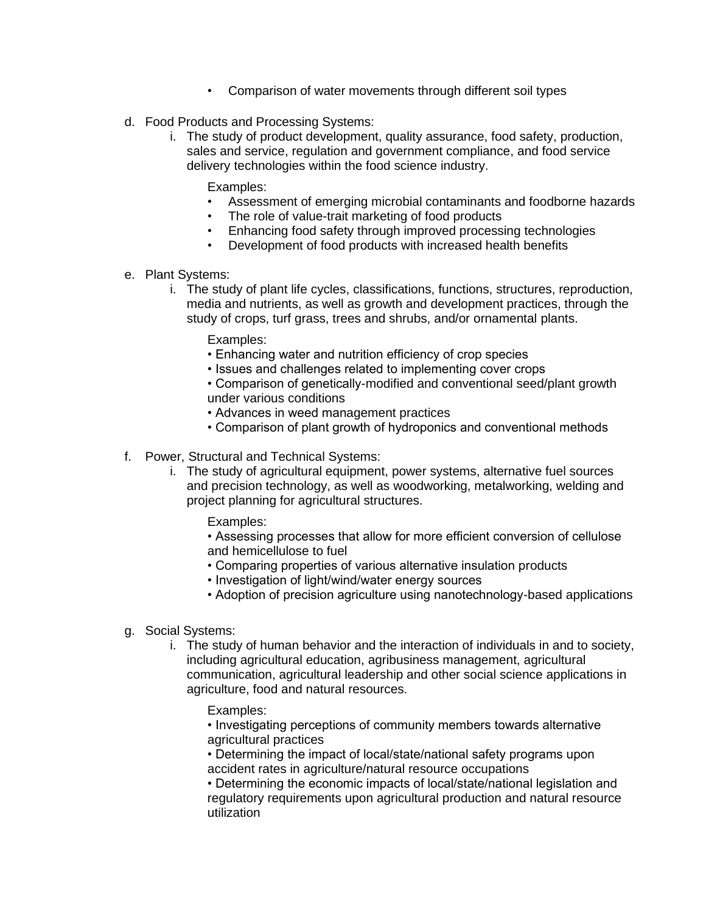- Comparison of water movements through different soil types
- d. Food Products and Processing Systems:
	- i. The study of product development, quality assurance, food safety, production, sales and service, regulation and government compliance, and food service delivery technologies within the food science industry.

Examples:

- Assessment of emerging microbial contaminants and foodborne hazards
- The role of value-trait marketing of food products
- Enhancing food safety through improved processing technologies
- Development of food products with increased health benefits
- e. Plant Systems:
	- i. The study of plant life cycles, classifications, functions, structures, reproduction, media and nutrients, as well as growth and development practices, through the study of crops, turf grass, trees and shrubs, and/or ornamental plants.

Examples:

- Enhancing water and nutrition efficiency of crop species
- Issues and challenges related to implementing cover crops
- Comparison of genetically-modified and conventional seed/plant growth under various conditions
- Advances in weed management practices
- Comparison of plant growth of hydroponics and conventional methods
- f. Power, Structural and Technical Systems:
	- i. The study of agricultural equipment, power systems, alternative fuel sources and precision technology, as well as woodworking, metalworking, welding and project planning for agricultural structures.

Examples:

- Assessing processes that allow for more efficient conversion of cellulose and hemicellulose to fuel
- Comparing properties of various alternative insulation products
- Investigation of light/wind/water energy sources
- Adoption of precision agriculture using nanotechnology-based applications
- g. Social Systems:
	- i. The study of human behavior and the interaction of individuals in and to society, including agricultural education, agribusiness management, agricultural communication, agricultural leadership and other social science applications in agriculture, food and natural resources.
		- Examples:

• Investigating perceptions of community members towards alternative agricultural practices

• Determining the impact of local/state/national safety programs upon accident rates in agriculture/natural resource occupations

• Determining the economic impacts of local/state/national legislation and regulatory requirements upon agricultural production and natural resource utilization